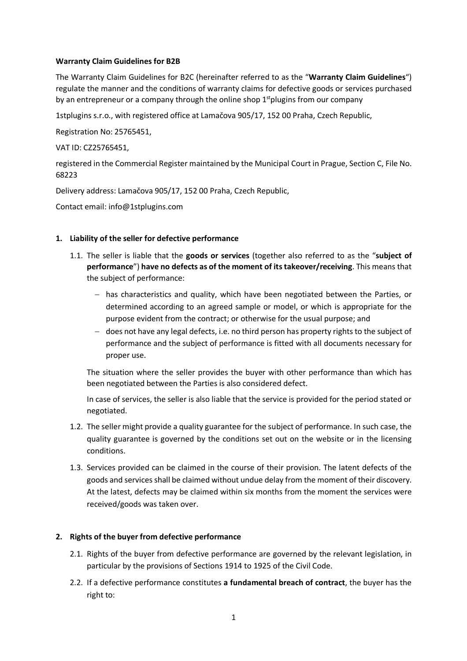## **Warranty Claim Guidelines for B2B**

The Warranty Claim Guidelines for B2C (hereinafter referred to as the "**Warranty Claim Guidelines**") regulate the manner and the conditions of warranty claims for defective goods or services purchased by an entrepreneur or a company through the online shop  $1<sup>st</sup>$ plugins from our company

1stplugins s.r.o., with registered office at Lamačova 905/17, 152 00 Praha, Czech Republic,

Registration No: 25765451,

VAT ID: CZ25765451,

registered in the Commercial Register maintained by the Municipal Court in Prague, Section C, File No. 68223

Delivery address: Lamačova 905/17, 152 00 Praha, Czech Republic,

Contact email: info@1stplugins.com

## **1. Liability of the seller for defective performance**

- 1.1. The seller is liable that the **goods or services** (together also referred to as the "**subject of performance**") **have no defects as of the moment of its takeover/receiving**. This means that the subject of performance:
	- has characteristics and quality, which have been negotiated between the Parties, or determined according to an agreed sample or model, or which is appropriate for the purpose evident from the contract; or otherwise for the usual purpose; and
	- does not have any legal defects, i.e. no third person has property rights to the subject of performance and the subject of performance is fitted with all documents necessary for proper use.

The situation where the seller provides the buyer with other performance than which has been negotiated between the Parties is also considered defect.

In case of services, the seller is also liable that the service is provided for the period stated or negotiated.

- 1.2. The seller might provide a quality guarantee for the subject of performance. In such case, the quality guarantee is governed by the conditions set out on the website or in the licensing conditions.
- 1.3. Services provided can be claimed in the course of their provision. The latent defects of the goods and services shall be claimed without undue delay from the moment of their discovery. At the latest, defects may be claimed within six months from the moment the services were received/goods was taken over.

### **2. Rights of the buyer from defective performance**

- 2.1. Rights of the buyer from defective performance are governed by the relevant legislation, in particular by the provisions of Sections 1914 to 1925 of the Civil Code.
- 2.2. If a defective performance constitutes **a fundamental breach of contract**, the buyer has the right to: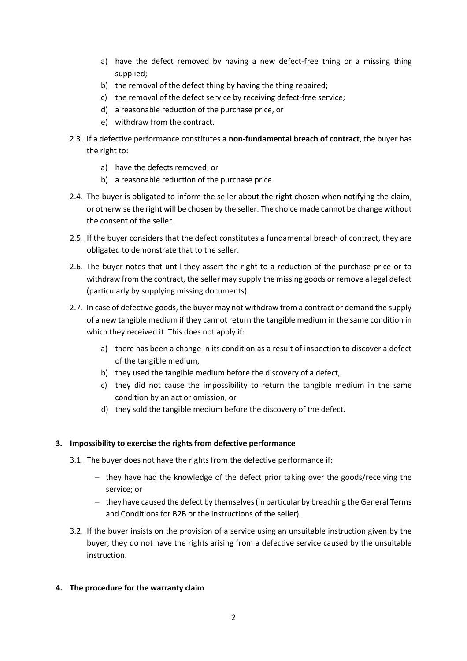- a) have the defect removed by having a new defect-free thing or a missing thing supplied;
- b) the removal of the defect thing by having the thing repaired;
- c) the removal of the defect service by receiving defect-free service;
- d) a reasonable reduction of the purchase price, or
- e) withdraw from the contract.
- 2.3. If a defective performance constitutes a **non-fundamental breach of contract**, the buyer has the right to:
	- a) have the defects removed; or
	- b) a reasonable reduction of the purchase price.
- 2.4. The buyer is obligated to inform the seller about the right chosen when notifying the claim, or otherwise the right will be chosen by the seller. The choice made cannot be change without the consent of the seller.
- 2.5. If the buyer considers that the defect constitutes a fundamental breach of contract, they are obligated to demonstrate that to the seller.
- 2.6. The buyer notes that until they assert the right to a reduction of the purchase price or to withdraw from the contract, the seller may supply the missing goods or remove a legal defect (particularly by supplying missing documents).
- 2.7. In case of defective goods, the buyer may not withdraw from a contract or demand the supply of a new tangible medium if they cannot return the tangible medium in the same condition in which they received it. This does not apply if:
	- a) there has been a change in its condition as a result of inspection to discover a defect of the tangible medium,
	- b) they used the tangible medium before the discovery of a defect,
	- c) they did not cause the impossibility to return the tangible medium in the same condition by an act or omission, or
	- d) they sold the tangible medium before the discovery of the defect.

# **3. Impossibility to exercise the rights from defective performance**

- 3.1. The buyer does not have the rights from the defective performance if:
	- $-$  they have had the knowledge of the defect prior taking over the goods/receiving the service; or
	- they have caused the defect by themselves (in particular by breaching the General Terms and Conditions for B2B or the instructions of the seller).
- 3.2. If the buyer insists on the provision of a service using an unsuitable instruction given by the buyer, they do not have the rights arising from a defective service caused by the unsuitable instruction.

# **4. The procedure for the warranty claim**